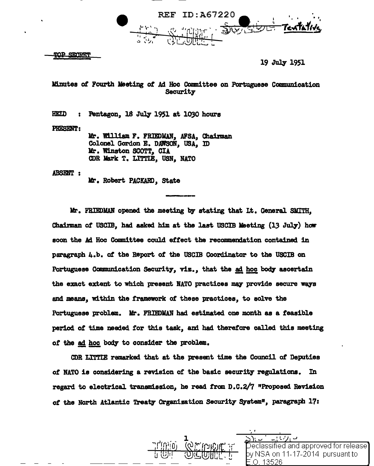

**TOP SECTRET** 

19 July 1951

Minutes of Fourth Meeting of Ad Hoc Committee on Portuguese Communication Security

HEID : Pentagon, 18 July 1951 at 1030 hours

PRESENT:

Mr. William F. FRIEDMAN, AFSA, Chairman Colonel Gordon E. DAWSON, USA, ID Kr. Winston SCOTT, CIA CDR Mark T. LITTIE, USN, NATO

**ABSENT:** 

Mr. Robert PACKARD. State

llr. FRIEDMAN opened the meeting by stating that Lt. General SllITH, Chairman of USCIB, had asked him at the last USCIB Meeting  $(13 \text{ July})$  how soon the Ad Hoc Committee could effect the recommendation contained in paragraph 4.b. *ot* the Report *ot* the USCIB Coordinator to the USCIB on Portuguese Communication Security, viz., that the ad hoc body ascertain the exact extent to which present NATO practices may provide secure ways and means, within the framework ot these practices, to solve the Portuguese problem. Mr. FRIEDMAN had estimated one month as a feasible period of time needed for this task, and had therefore called this meeting of the ad hoc body to consider the problem.

CDR LITTIE remarked that at the present time the Council of Deputies of NATO is considering a revision of the basic security regulations. In regard to electrical transmission, he read from  $D.C.2/7$  "Proposed Revision of the North Atlantic Treaty Organization Security System<sup>#</sup>, paragraph 17:

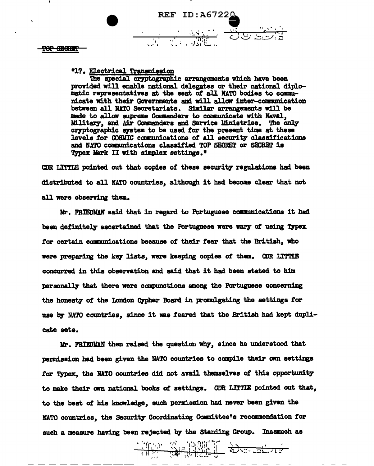

**TOP SECRET** 

"17. Electrical Transmission

The special cryptographic arrangements which have been provided will enable national delegates or their national diplomatic representatives at the seat of all NATO bodies to communicate with their Governments and will allow inter-communication between all NATO Secretariats. Similar arrangements will be made to allow supreme Commanders to communicate with Naval. Military, and Air Commanders and Service Ministries. The only cryptographic system to be used for the present time at these levels for COSMIC communications of all security classifications and NATO communications classified TOP SECRET or SECRET is Typex Mark II with simplex settings."

CDR LITTLE pointed out that copies of these security regulations had been distributed to all NATO countries, although it had become clear that not all were observing them.

Mr. FRIEDMAN said that in regard to Portuguese communications it had been definitely ascertained that the Portuguese were wary of using Typex for certain communications because of their fear that the British, who were preparing the key lists, were keeping copies of them. CDR LITTLE concurred in this observation and said that it had been stated to him personally that there were compunctions among the Portuguese concerning the honesty of the London Cypher Board in promulgating the settings for use by NATO countries, since it was feared that the British had kept duplicate sets.

Mr. FRIEDMAN then raised the question why, since he understood that permission had been given the NATO countries to compile their own settings for Typex, the NATO countries did not avail themselves of this opportunity to make their own national books of settings. CDR LITTIE pointed out that. to the best of his knowledge, such permission had never been given the NATO countries, the Security Coordinating Committee's recommendation for such a measure having been rejected by the Standing Group. Inasmuch as

 $-\frac{1}{100}$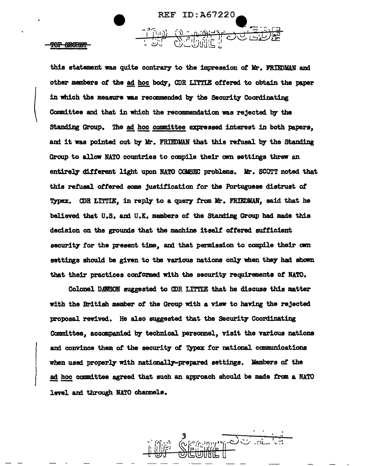

 $\begin{pmatrix} \phantom{-}\end{pmatrix}$ 

I I

f

this statement was quite contrary to the impression of Mr. FRIEDMAN and other members of the ad hoc body, CDR LITTIE offered to obtain the paper in which the measure was recommended by the Security Coordinating Committee and that in which the recommendation was rejected by the Standing Group. The ad hoc committee expressed interest in both papers, and it was pointed out by Mr. FRIEDMAN that this refusal by the Standing Group to allow NATO countries to compile their own settings threw an entirely different light upon NATO COMSEC problems. Mr. SCOTT noted that this refusal offered some justification for the Portuguese distrust of Typex. CDR LITTIE, in reply to a query from Mr. FRIEDMAN, said that he believed that U.S. and U.K. members of the Standing Group had made this decision on the grounds that the machine itself ottered autticient security for the present time, and that permission to compile their own settings should be given to the various nations only when they had shown that their practices conformed with the security requirements of NATO.

Colonel DAWSON suggested to CDR LITl'IE that he discuss this matter with the British member of the Group with a view to having the rejected proposal revived. He also suggested that the Security Coordinating Committee, accompanied by technical personnel, visit the various nations and convince them of the security of **Typex** for national communications when used properly with nationally-prepared settings. Members of the ad hoc committee agreed that such an approach should be made from a NATO level and through NATO channels.

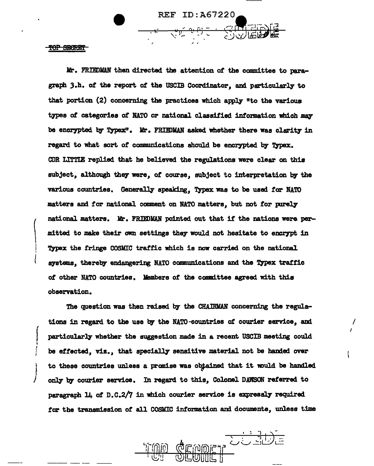REF ID:A67220

 $\frac{1}{2}$  ,  $\frac{1}{2}$  ,  $\frac{1}{2}$  ,  $\frac{1}{2}$  ,  $\frac{1}{2}$  ,  $\frac{1}{2}$  ,  $\frac{1}{2}$  ,  $\frac{1}{2}$  ,  $\frac{1}{2}$  ,  $\frac{1}{2}$  ,  $\frac{1}{2}$  ,  $\frac{1}{2}$  ,  $\frac{1}{2}$  ,  $\frac{1}{2}$  ,  $\frac{1}{2}$  ,  $\frac{1}{2}$  ,  $\frac{1}{2}$  ,  $\frac{1}{2}$  ,  $\frac{1$ 

TOP SECRET

I I

 $\left| \begin{array}{c} \end{array} \right|$ I I ~ I t  $\int$ 

 $\begin{pmatrix} & n \\ & m \\ & & \\ & & \\ & & \end{pmatrix}$ Mr. FRIEDMAN then directed the attention of the committee to paragraph 3.h. of the report of the USCIB Coordinator, and particularly to that portion  $(2)$  concerning the practices which apply "to the various types *ot* categories *ot* NATO or national classified information which mq be encrypted by Typex". Mr. FRIEDMAN asked whether there was clarity in regard to what sort of communications should be encrypted by Typex. CDR LlTTIE replied that he believed the regulations were clear on this subject, although they were, of course, subject to interpretation by the various countries. Generally speaking, Typex was to be used for NATO matters and *tor* national. comment on NATO matters, but not tor pirelJ' national matters. Mr. FRIEDMAN pointed out that if the nations were permitted. to make their own settings they would not hesitate to encrypt in Typex the fringe COSMIC traffic which is now carried on the national systems, thereby endangering NATO communications and the Typex traffic *ot* other NATO countries. lfembers of the camnittee agreed with this observation.

The question was then raised by the CHAIRMAN concerning the regulations in regard to the use by the NATO-eountries of courier service, and particularly whether the suggestion made in a recent USCIB meeting could be effected, viz., that specially sensitive material not be handed over to these countries unless a promise was obtained that it would be handled only by courier service. In regard to this, Colonel DAWSON referred to paragraph 14 of D.C.2/7 in which courier service is expressly required *tor* the transmission of all COSMIC intomation and documents, unless time



I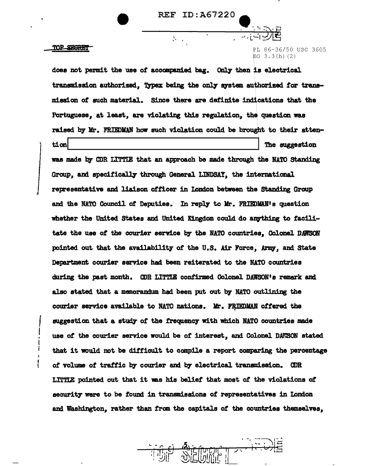## TOP STARRT

PL 86-36/50 USC 3605  $FO 3.3(h)(2)$ 

does not permit the use of accompanied bag. Only then is electrical transmission authorized. Typex being the only system authorized for transmission of such material. Since there are definite indications that the Portuguese, at least, are violating this regulation, the question was raised by Mr. FRIEDMAN how such violation could be brought to their attention The suggestion was made by CDR LITTLE that an approach be made through the NATO Standing Group, and specifically through General LINDSAY, the international representative and liaison officer in London between the Standing Group and the NATO Council of Deputies. In reply to Mr. FRIEDMAN's question whether the United States and United Kingdom could do anything to facilitate the use of the courier service by the NATO countries. Colonel DAWSON pointed out that the availability of the U.S. Air Force, Army, and State Department courier service had been reiterated to the NATO countries during the past month. CDR LITTLE confirmed Colonel DAWSON's remark and also stated that a memorandum had been put out by NATO outlining the courier service available to NATO nations. Mr. FRIEDMAN offered the suggestion that a study of the frequency with which NATO countries made use of the courier service would be of interest, and Colonel DAWSON stated that it would not be difficult to compile a report comparing the percentage of volume of traffic by courier and by electrical transmission. CDR LITTLE pointed out that it was his belief that most of the violations of security were to be found in transmissions of representatives in London and Washington, rather than from the capitals of the countries themselves,

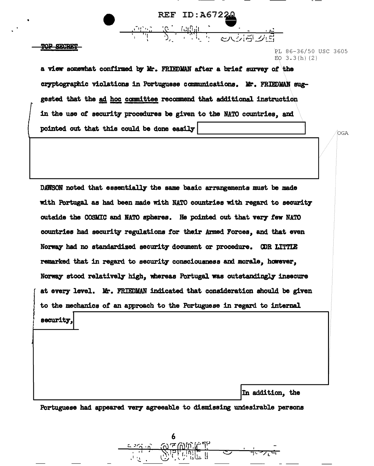a view somewhat confirmed by Mr. FRIEDMAN after a brief survey of the cryptographic violations in Portuguese communications. Mr. FRIEDMAN suggested that the ad hoc committee recommend that additional instruction in the use of security procedures be given to the NATO countries, and pointed out that this could be done easily

**REF ID:A67220** 

PL 86-36/50 USC 3605

OGA.

 $FQ$  3.3(h)(2)

DAWSON noted that essentially the same basic arrangements must be made with Portugal as had been made with NATO countries with regard to security outside the COSMIC and NATO spheres. He pointed out that very few NATO countries had security regulations for their Armed Forces, and that even Norway had no standardized security document or procedure. COR LITTLE remarked that in regard to security consciousness and morale, however, Norway stood relatively high, whereas Portugal was outstandingly insecure at every level. Mr. FRIEDMAN indicated that consideration should be given to the mechanics of an approach to the Portuguese in regard to internal security, In addition, the

Portuguese had appeared very agreeable to dismissing undesirable persons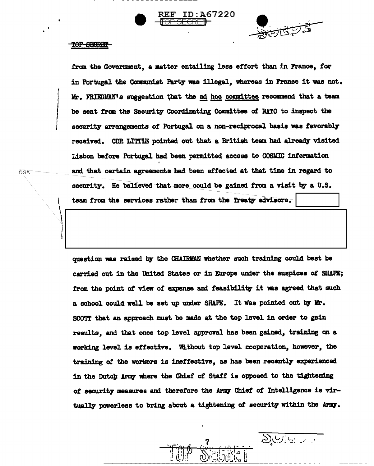



## TOP SECRET

OGA

from the Government, a matter entailing less effort than in France, for in Portugal the Communist Party was illegal, whereas in France it was not. Mr. FRIEDMAN's suggestion that the ad hoc committee recommend that a team be sent from the Security Coordinating Committee of NATO to inspect the security arrangements of Portugal on a non-reciprocal basis was favorably received. CDR LITTIE pointed out that a British team had already visited Lisbon before Portugal had been permitted access to COSMIC information and that certain agreements had been effected at that time in regard to security. He believed that more could be gained from a visit by a U.S.

team from the services rather than from the Treaty advisors.

question was raised by the CHAIRMAN whether such training could best be carried out in the United States or in Europe under the auspices of SHAPE; from the point of view of expense and feasibility it was agreed that such a school could well be set up under SHAPE. It was pointed out by Mr. SCOTT that an approach must be made at the top level in order to gain results, and that once top level approval has been gained, training on a working level is effective. Without top level cooperation, however, the training of the workers is ineffective, as has been recently experienced in the Dutch Army where the Chief of Staff is opposed to the tightening of security measures and therefore the Army Chief of Intelligence is virtually powerless to bring about a tightening of security within the Army.

 $20.922$